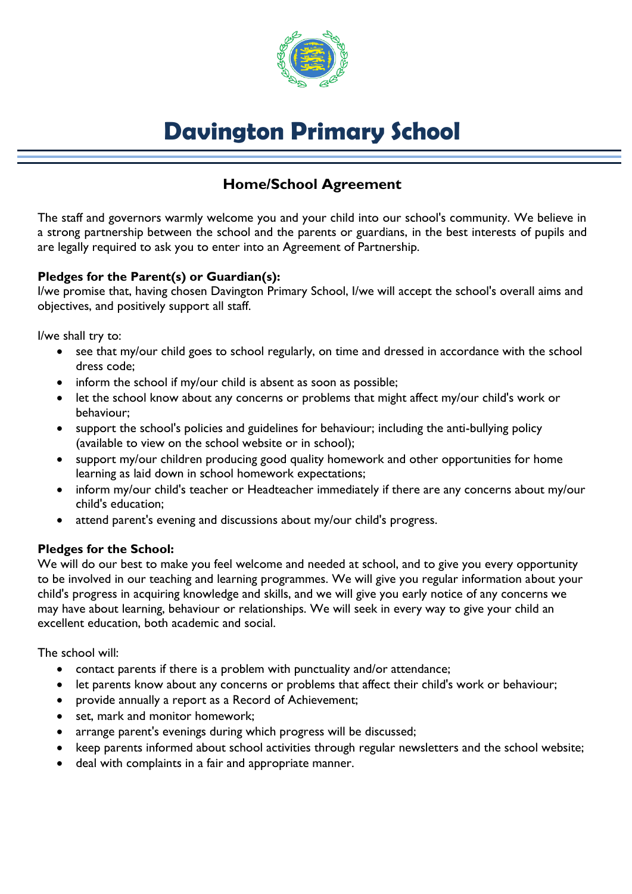

# **Davington Primary School**

# **Home/School Agreement**

The staff and governors warmly welcome you and your child into our school's community. We believe in a strong partnership between the school and the parents or guardians, in the best interests of pupils and are legally required to ask you to enter into an Agreement of Partnership.

# **Pledges for the Parent(s) or Guardian(s):**

I/we promise that, having chosen Davington Primary School, I/we will accept the school's overall aims and objectives, and positively support all staff.

I/we shall try to:

- see that my/our child goes to school regularly, on time and dressed in accordance with the school dress code;
- inform the school if my/our child is absent as soon as possible;
- let the school know about any concerns or problems that might affect my/our child's work or behaviour;
- support the school's policies and guidelines for behaviour; including the anti-bullying policy (available to view on the school website or in school);
- support my/our children producing good quality homework and other opportunities for home learning as laid down in school homework expectations;
- inform my/our child's teacher or Headteacher immediately if there are any concerns about my/our child's education;
- attend parent's evening and discussions about my/our child's progress.

#### **Pledges for the School:**

We will do our best to make you feel welcome and needed at school, and to give you every opportunity to be involved in our teaching and learning programmes. We will give you regular information about your child's progress in acquiring knowledge and skills, and we will give you early notice of any concerns we may have about learning, behaviour or relationships. We will seek in every way to give your child an excellent education, both academic and social.

The school will:

- contact parents if there is a problem with punctuality and/or attendance;
- let parents know about any concerns or problems that affect their child's work or behaviour;
- provide annually a report as a Record of Achievement;
- set, mark and monitor homework;
- arrange parent's evenings during which progress will be discussed;
- keep parents informed about school activities through regular newsletters and the school website;
- deal with complaints in a fair and appropriate manner.